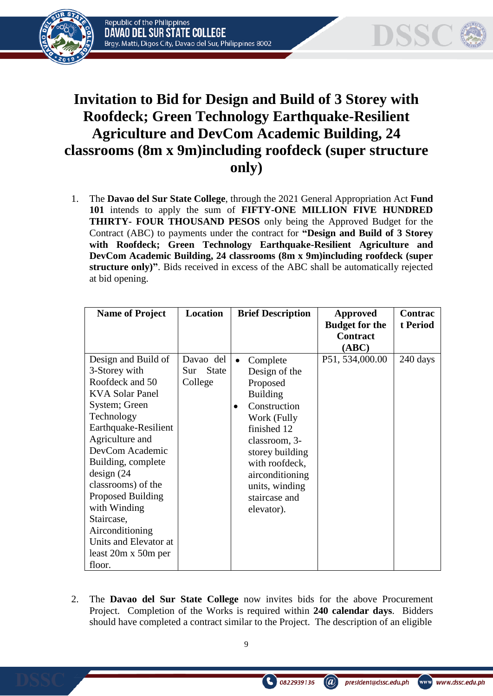



## **Invitation to Bid for Design and Build of 3 Storey with Roofdeck; Green Technology Earthquake-Resilient Agriculture and DevCom Academic Building, 24 classrooms (8m x 9m)including roofdeck (super structure only)**

1. The **Davao del Sur State College**, through the 2021 General Appropriation Act **Fund 101** intends to apply the sum of **FIFTY-ONE MILLION FIVE HUNDRED THIRTY- FOUR THOUSAND PESOS** only being the Approved Budget for the Contract (ABC) to payments under the contract for **"Design and Build of 3 Storey with Roofdeck; Green Technology Earthquake-Resilient Agriculture and DevCom Academic Building, 24 classrooms (8m x 9m)including roofdeck (super structure only)"**. Bids received in excess of the ABC shall be automatically rejected at bid opening.

| <b>Name of Project</b>                                                                                                                                                                                                                                                                                                                                                    | Location                                    | <b>Brief Description</b>                                                                                                                                                                                                                                   | Approved                                 | Contrac  |
|---------------------------------------------------------------------------------------------------------------------------------------------------------------------------------------------------------------------------------------------------------------------------------------------------------------------------------------------------------------------------|---------------------------------------------|------------------------------------------------------------------------------------------------------------------------------------------------------------------------------------------------------------------------------------------------------------|------------------------------------------|----------|
|                                                                                                                                                                                                                                                                                                                                                                           |                                             |                                                                                                                                                                                                                                                            | <b>Budget for the</b><br><b>Contract</b> | t Period |
|                                                                                                                                                                                                                                                                                                                                                                           |                                             |                                                                                                                                                                                                                                                            | (ABC)                                    |          |
| Design and Build of<br>3-Storey with<br>Roofdeck and 50<br><b>KVA Solar Panel</b><br>System; Green<br>Technology<br>Earthquake-Resilient<br>Agriculture and<br>DevCom Academic<br>Building, complete<br>design (24)<br>classrooms) of the<br>Proposed Building<br>with Winding<br>Staircase,<br>Airconditioning<br>Units and Elevator at<br>least 20m x 50m per<br>floor. | Davao del<br><b>State</b><br>Sur<br>College | Complete<br>$\bullet$<br>Design of the<br>Proposed<br><b>Building</b><br>Construction<br>$\bullet$<br>Work (Fully<br>finished 12<br>classroom, 3-<br>storey building<br>with roofdeck,<br>airconditioning<br>units, winding<br>staircase and<br>elevator). | P51, 534,000.00                          | 240 days |

2. The **Davao del Sur State College** now invites bids for the above Procurement Project. Completion of the Works is required within **240 calendar days**. Bidders should have completed a contract similar to the Project. The description of an eligible

0822939136

 $\left(\widehat{a}\right)$ 

president@dssc.edu.ph

www.dssc.edu.ph

www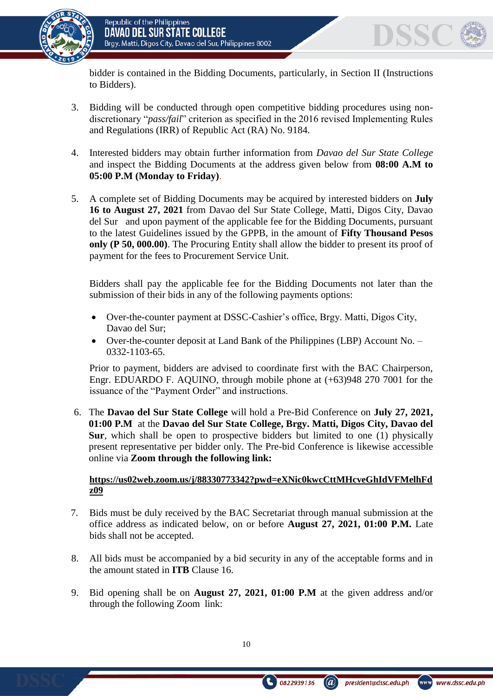

bidder is contained in the Bidding Documents, particularly, in Section II (Instructions to Bidders).

- 3. Bidding will be conducted through open competitive bidding procedures using nondiscretionary "*pass/fail*" criterion as specified in the 2016 revised Implementing Rules and Regulations (IRR) of Republic Act (RA) No. 9184.
- 4. Interested bidders may obtain further information from *Davao del Sur State College* and inspect the Bidding Documents at the address given below from **08:00 A.M to 05:00 P.M (Monday to Friday)**.
- 5. A complete set of Bidding Documents may be acquired by interested bidders on **July 16 to August 27, 2021** from Davao del Sur State College, Matti, Digos City, Davao del Sur and upon payment of the applicable fee for the Bidding Documents, pursuant to the latest Guidelines issued by the GPPB, in the amount of **Fifty Thousand Pesos only (P 50, 000.00)**. The Procuring Entity shall allow the bidder to present its proof of payment for the fees to Procurement Service Unit.

Bidders shall pay the applicable fee for the Bidding Documents not later than the submission of their bids in any of the following payments options:

- Over-the-counter payment at DSSC-Cashier's office, Brgy. Matti, Digos City, Davao del Sur;
- Over-the-counter deposit at Land Bank of the Philippines (LBP) Account No. 0332-1103-65.

Prior to payment, bidders are advised to coordinate first with the BAC Chairperson, Engr. EDUARDO F. AQUINO, through mobile phone at (+63)948 270 7001 for the issuance of the "Payment Order" and instructions.

6. The **Davao del Sur State College** will hold a Pre-Bid Conference on **July 27, 2021, 01:00 P.M** at the **Davao del Sur State College, Brgy. Matti, Digos City, Davao del Sur***,* which shall be open to prospective bidders but limited to one (1) physically present representative per bidder only. The Pre-bid Conference is likewise accessible online via **Zoom through the following link:**

## **[https://us02web.zoom.us/j/88330773342?pwd=eXNic0kwcCttMHcveGhIdVFMelhFd](https://us02web.zoom.us/j/88330773342?pwd=eXNic0kwcCttMHcveGhIdVFMelhFdz09) [z09](https://us02web.zoom.us/j/88330773342?pwd=eXNic0kwcCttMHcveGhIdVFMelhFdz09)**

- 7. Bids must be duly received by the BAC Secretariat through manual submission at the office address as indicated below, on or before **August 27, 2021, 01:00 P.M.** Late bids shall not be accepted.
- 8. All bids must be accompanied by a bid security in any of the acceptable forms and in the amount stated in **ITB** Clause 16.
- 9. Bid opening shall be on **August 27, 2021, 01:00 P.M** at the given address and/or through the following Zoom link:





president@dssc.edu.ph